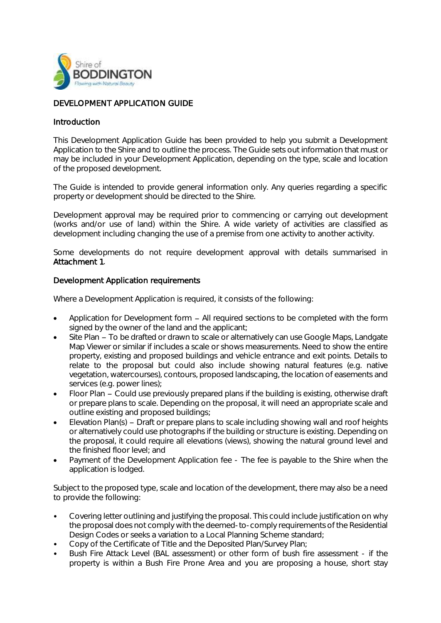

## DEVELOPMENT APPLICATION GUIDE

## Introduction

This Development Application Guide has been provided to help you submit a Development Application to the Shire and to outline the process. The Guide sets out information that must or may be included in your Development Application, depending on the type, scale and location of the proposed development.

The Guide is intended to provide general information only. Any queries regarding a specific property or development should be directed to the Shire.

Development approval may be required prior to commencing or carrying out development (works and/or use of land) within the Shire. A wide variety of activities are classified as development including changing the use of a premise from one activity to another activity.

Some developments do not require development approval with details summarised in Attachment 1.

## Development Application requirements

Where a Development Application is required, it consists of the following:

- Application for Development form  $-$  All required sections to be completed with the form signed by the owner of the land and the applicant;
- Site Plan To be drafted or drawn to scale or alternatively can use Google Maps, Landgate Map Viewer or similar if includes a scale or shows measurements. Need to show the entire property, existing and proposed buildings and vehicle entrance and exit points. Details to relate to the proposal but could also include showing natural features (e.g. native vegetation, watercourses), contours, proposed landscaping, the location of easements and services (e.g. power lines);
- Floor Plan Could use previously prepared plans if the building is existing, otherwise draft or prepare plans to scale. Depending on the proposal, it will need an appropriate scale and outline existing and proposed buildings;
- Elevation Plan(s)  $-$  Draft or prepare plans to scale including showing wall and roof heights or alternatively could use photographs if the building or structure is existing. Depending on the proposal, it could require all elevations (views), showing the natural ground level and the finished floor level; and
- Payment of the Development Application fee The fee is payable to the Shire when the application is lodged.

Subject to the proposed type, scale and location of the development, there may also be a need to provide the following:

- Covering letter outlining and justifying the proposal. This could include justification on why the proposal does not comply with the deemed-to-comply requirements of the Residential Design Codes or seeks a variation to a Local Planning Scheme standard;
- Copy of the Certificate of Title and the Deposited Plan/Survey Plan;
- Bush Fire Attack Level (BAL assessment) or other form of bush fire assessment if the property is within a Bush Fire Prone Area and you are proposing a house, short stay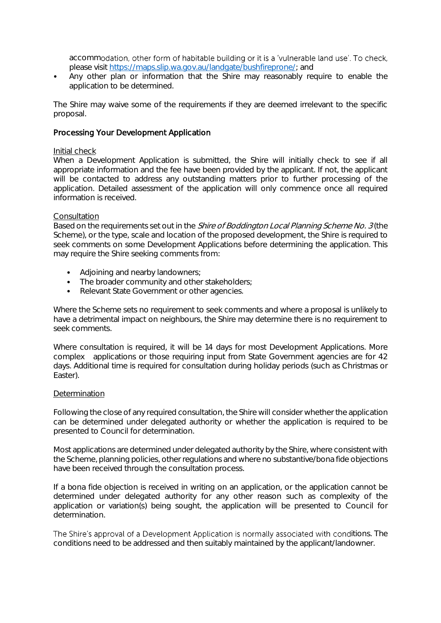accommodation, other form of habitable building or it is a 'vulnerable land use'. To check, please visit [https://maps.slip.wa.gov.au/landgate/bushfireprone/;](https://maps.slip.wa.gov.au/landgate/bushfireprone/) and

• Any other plan or information that the Shire may reasonably require to enable the application to be determined.

The Shire may waive some of the requirements if they are deemed irrelevant to the specific proposal.

## Processing Your Development Application

#### Initial check

When a Development Application is submitted, the Shire will initially check to see if all appropriate information and the fee have been provided by the applicant. If not, the applicant will be contacted to address any outstanding matters prior to further processing of the application. Detailed assessment of the application will only commence once all required information is received.

#### **Consultation**

Based on the requirements set out in the *Shire of Boddington Local Planning Scheme No. 3* (the Scheme), or the type, scale and location of the proposed development, the Shire is required to seek comments on some Development Applications before determining the application. This may require the Shire seeking comments from:

- Adjoining and nearby landowners;
- The broader community and other stakeholders;
- Relevant State Government or other agencies.

Where the Scheme sets no requirement to seek comments and where a proposal is unlikely to have a detrimental impact on neighbours, the Shire may determine there is no requirement to seek comments.

Where consultation is required, it will be 14 days for most Development Applications. More complex applications or those requiring input from State Government agencies are for 42 days. Additional time is required for consultation during holiday periods (such as Christmas or Easter).

#### **Determination**

Following the close of any required consultation, the Shire will consider whether the application can be determined under delegated authority or whether the application is required to be presented to Council for determination.

Most applications are determined under delegated authority by the Shire, where consistent with the Scheme, planning policies, other regulations and where no substantive/bona fide objections have been received through the consultation process.

If a bona fide objection is received in writing on an application, or the application cannot be determined under delegated authority for any other reason such as complexity of the application or variation(s) being sought, the application will be presented to Council for determination.

The Shire's approval of a Development Application is normally associated with conditions. The conditions need to be addressed and then suitably maintained by the applicant/landowner.